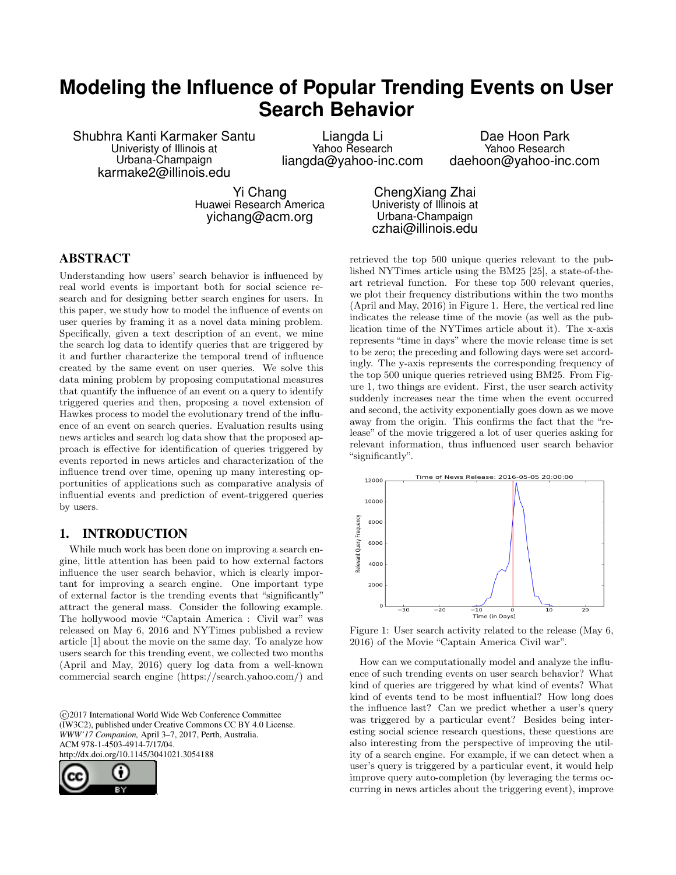# **Modeling the Influence of Popular Trending Events on User Search Behavior**

Shubhra Kanti Karmaker Santu Univeristy of Illinois at Urbana-Champaign karmake2@illinois.edu

Liangda Li Yahoo Research liangda@yahoo-inc.com

Dae Hoon Park Yahoo Research daehoon@yahoo-inc.com

Yi Chang Huawei Research America yichang@acm.org

ChengXiang Zhai Univeristy of Illinois at Urbana-Champaign czhai@illinois.edu

# ABSTRACT

Understanding how users' search behavior is influenced by real world events is important both for social science research and for designing better search engines for users. In this paper, we study how to model the influence of events on user queries by framing it as a novel data mining problem. Specifically, given a text description of an event, we mine the search log data to identify queries that are triggered by it and further characterize the temporal trend of influence created by the same event on user queries. We solve this data mining problem by proposing computational measures that quantify the influence of an event on a query to identify triggered queries and then, proposing a novel extension of Hawkes process to model the evolutionary trend of the influence of an event on search queries. Evaluation results using news articles and search log data show that the proposed approach is effective for identification of queries triggered by events reported in news articles and characterization of the influence trend over time, opening up many interesting opportunities of applications such as comparative analysis of influential events and prediction of event-triggered queries by users.

# 1. INTRODUCTION

While much work has been done on improving a search engine, little attention has been paid to how external factors influence the user search behavior, which is clearly important for improving a search engine. One important type of external factor is the trending events that "significantly" attract the general mass. Consider the following example. The hollywood movie "Captain America : Civil war" was released on May 6, 2016 and NYTimes published a review article [1] about the movie on the same day. To analyze how users search for this trending event, we collected two months (April and May, 2016) query log data from a well-known commercial search engine (https://search.yahoo.com/) and

 c 2017 International World Wide Web Conference Committee (IW3C2), published under Creative Commons CC BY 4.0 License. *WWW'17 Companion,* April 3–7, 2017, Perth, Australia. ACM 978-1-4503-4914-7/17/04. http://dx.doi.org/10.1145/3041021.3054188



retrieved the top 500 unique queries relevant to the published NYTimes article using the BM25 [25], a state-of-theart retrieval function. For these top 500 relevant queries, we plot their frequency distributions within the two months (April and May, 2016) in Figure 1. Here, the vertical red line indicates the release time of the movie (as well as the publication time of the NYTimes article about it). The x-axis represents "time in days" where the movie release time is set to be zero; the preceding and following days were set accordingly. The y-axis represents the corresponding frequency of the top 500 unique queries retrieved using BM25. From Figure 1, two things are evident. First, the user search activity suddenly increases near the time when the event occurred and second, the activity exponentially goes down as we move away from the origin. This confirms the fact that the "release" of the movie triggered a lot of user queries asking for relevant information, thus influenced user search behavior "significantly".



Figure 1: User search activity related to the release (May 6, 2016) of the Movie "Captain America Civil war".

How can we computationally model and analyze the influence of such trending events on user search behavior? What kind of queries are triggered by what kind of events? What kind of events tend to be most influential? How long does the influence last? Can we predict whether a user's query was triggered by a particular event? Besides being interesting social science research questions, these questions are also interesting from the perspective of improving the utility of a search engine. For example, if we can detect when a user's query is triggered by a particular event, it would help improve query auto-completion (by leveraging the terms occurring in news articles about the triggering event), improve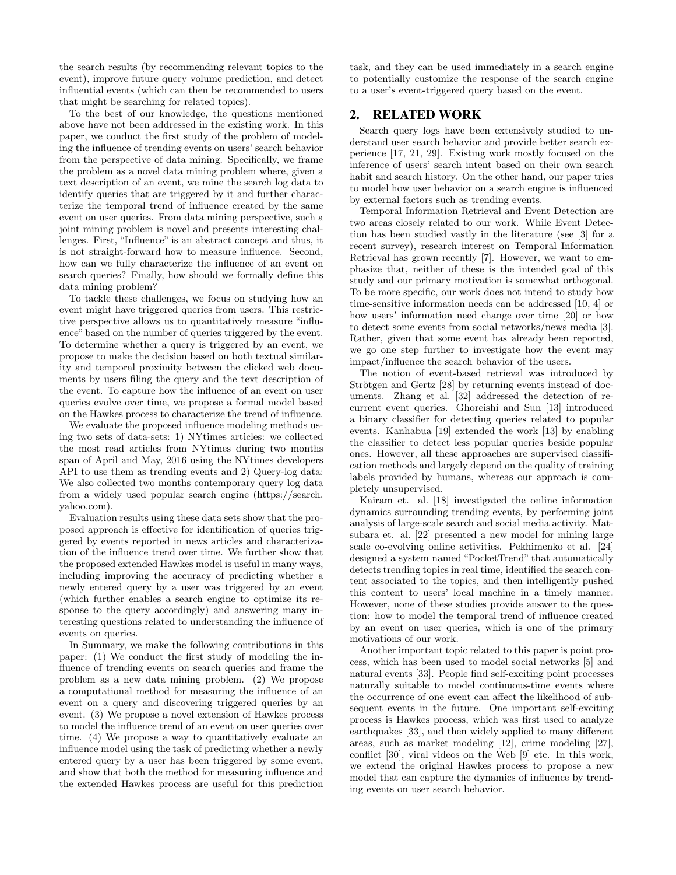the search results (by recommending relevant topics to the event), improve future query volume prediction, and detect influential events (which can then be recommended to users that might be searching for related topics).

To the best of our knowledge, the questions mentioned above have not been addressed in the existing work. In this paper, we conduct the first study of the problem of modeling the influence of trending events on users' search behavior from the perspective of data mining. Specifically, we frame the problem as a novel data mining problem where, given a text description of an event, we mine the search log data to identify queries that are triggered by it and further characterize the temporal trend of influence created by the same event on user queries. From data mining perspective, such a joint mining problem is novel and presents interesting challenges. First, "Influence" is an abstract concept and thus, it is not straight-forward how to measure influence. Second, how can we fully characterize the influence of an event on search queries? Finally, how should we formally define this data mining problem?

To tackle these challenges, we focus on studying how an event might have triggered queries from users. This restrictive perspective allows us to quantitatively measure "influence" based on the number of queries triggered by the event. To determine whether a query is triggered by an event, we propose to make the decision based on both textual similarity and temporal proximity between the clicked web documents by users filing the query and the text description of the event. To capture how the influence of an event on user queries evolve over time, we propose a formal model based on the Hawkes process to characterize the trend of influence.

We evaluate the proposed influence modeling methods using two sets of data-sets: 1) NYtimes articles: we collected the most read articles from NYtimes during two months span of April and May, 2016 using the NYtimes developers API to use them as trending events and 2) Query-log data: We also collected two months contemporary query log data from a widely used popular search engine (https://search. yahoo.com).

Evaluation results using these data sets show that the proposed approach is effective for identification of queries triggered by events reported in news articles and characterization of the influence trend over time. We further show that the proposed extended Hawkes model is useful in many ways, including improving the accuracy of predicting whether a newly entered query by a user was triggered by an event (which further enables a search engine to optimize its response to the query accordingly) and answering many interesting questions related to understanding the influence of events on queries.

In Summary, we make the following contributions in this paper: (1) We conduct the first study of modeling the influence of trending events on search queries and frame the problem as a new data mining problem. (2) We propose a computational method for measuring the influence of an event on a query and discovering triggered queries by an event. (3) We propose a novel extension of Hawkes process to model the influence trend of an event on user queries over time. (4) We propose a way to quantitatively evaluate an influence model using the task of predicting whether a newly entered query by a user has been triggered by some event, and show that both the method for measuring influence and the extended Hawkes process are useful for this prediction task, and they can be used immediately in a search engine to potentially customize the response of the search engine to a user's event-triggered query based on the event.

# 2. RELATED WORK

Search query logs have been extensively studied to understand user search behavior and provide better search experience [17, 21, 29]. Existing work mostly focused on the inference of users' search intent based on their own search habit and search history. On the other hand, our paper tries to model how user behavior on a search engine is influenced by external factors such as trending events.

Temporal Information Retrieval and Event Detection are two areas closely related to our work. While Event Detection has been studied vastly in the literature (see [3] for a recent survey), research interest on Temporal Information Retrieval has grown recently [7]. However, we want to emphasize that, neither of these is the intended goal of this study and our primary motivation is somewhat orthogonal. To be more specific, our work does not intend to study how time-sensitive information needs can be addressed [10, 4] or how users' information need change over time [20] or how to detect some events from social networks/news media [3]. Rather, given that some event has already been reported, we go one step further to investigate how the event may impact/influence the search behavior of the users.

The notion of event-based retrieval was introduced by Strötgen and Gertz [28] by returning events instead of documents. Zhang et al. [32] addressed the detection of recurrent event queries. Ghoreishi and Sun [13] introduced a binary classifier for detecting queries related to popular events. Kanhabua [19] extended the work [13] by enabling the classifier to detect less popular queries beside popular ones. However, all these approaches are supervised classification methods and largely depend on the quality of training labels provided by humans, whereas our approach is completely unsupervised.

Kairam et. al. [18] investigated the online information dynamics surrounding trending events, by performing joint analysis of large-scale search and social media activity. Matsubara et. al. [22] presented a new model for mining large scale co-evolving online activities. Pekhimenko et al. [24] designed a system named "PocketTrend" that automatically detects trending topics in real time, identified the search content associated to the topics, and then intelligently pushed this content to users' local machine in a timely manner. However, none of these studies provide answer to the question: how to model the temporal trend of influence created by an event on user queries, which is one of the primary motivations of our work.

Another important topic related to this paper is point process, which has been used to model social networks [5] and natural events [33]. People find self-exciting point processes naturally suitable to model continuous-time events where the occurrence of one event can affect the likelihood of subsequent events in the future. One important self-exciting process is Hawkes process, which was first used to analyze earthquakes [33], and then widely applied to many different areas, such as market modeling [12], crime modeling [27], conflict [30], viral videos on the Web [9] etc. In this work, we extend the original Hawkes process to propose a new model that can capture the dynamics of influence by trending events on user search behavior.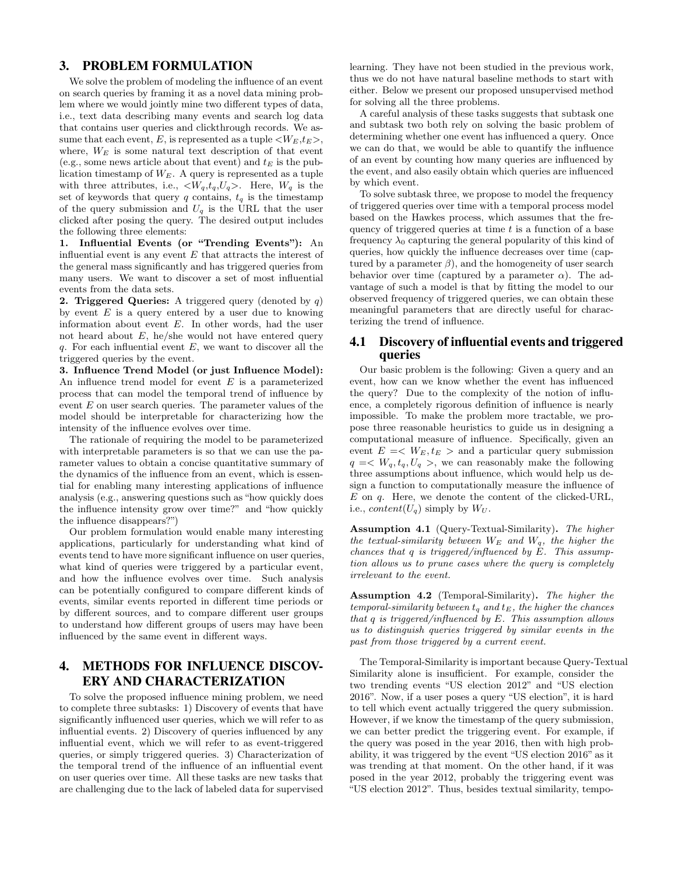# 3. PROBLEM FORMULATION

We solve the problem of modeling the influence of an event on search queries by framing it as a novel data mining problem where we would jointly mine two different types of data, i.e., text data describing many events and search log data that contains user queries and clickthrough records. We assume that each event, E, is represented as a tuple  $\langle W_E, t_E \rangle$ , where,  $W_E$  is some natural text description of that event (e.g., some news article about that event) and  $t_E$  is the publication timestamp of  $W_E$ . A query is represented as a tuple with three attributes, i.e.,  $\langle W_q, t_q, U_q \rangle$ . Here,  $W_q$  is the set of keywords that query q contains,  $t_q$  is the timestamp of the query submission and  $U_q$  is the URL that the user clicked after posing the query. The desired output includes the following three elements:

1. Influential Events (or "Trending Events"): An influential event is any event  $E$  that attracts the interest of the general mass significantly and has triggered queries from many users. We want to discover a set of most influential events from the data sets.

**2. Triggered Queries:** A triggered query (denoted by  $q$ ) by event  $E$  is a query entered by a user due to knowing information about event  $E$ . In other words, had the user not heard about  $E$ , he/she would not have entered query q. For each influential event  $E$ , we want to discover all the triggered queries by the event.

3. Influence Trend Model (or just Influence Model): An influence trend model for event  $E$  is a parameterized process that can model the temporal trend of influence by event  $E$  on user search queries. The parameter values of the model should be interpretable for characterizing how the intensity of the influence evolves over time.

The rationale of requiring the model to be parameterized with interpretable parameters is so that we can use the parameter values to obtain a concise quantitative summary of the dynamics of the influence from an event, which is essential for enabling many interesting applications of influence analysis (e.g., answering questions such as "how quickly does the influence intensity grow over time?" and "how quickly the influence disappears?")

Our problem formulation would enable many interesting applications, particularly for understanding what kind of events tend to have more significant influence on user queries, what kind of queries were triggered by a particular event, and how the influence evolves over time. Such analysis can be potentially configured to compare different kinds of events, similar events reported in different time periods or by different sources, and to compare different user groups to understand how different groups of users may have been influenced by the same event in different ways.

# 4. METHODS FOR INFLUENCE DISCOV-ERY AND CHARACTERIZATION

To solve the proposed influence mining problem, we need to complete three subtasks: 1) Discovery of events that have significantly influenced user queries, which we will refer to as influential events. 2) Discovery of queries influenced by any influential event, which we will refer to as event-triggered queries, or simply triggered queries. 3) Characterization of the temporal trend of the influence of an influential event on user queries over time. All these tasks are new tasks that are challenging due to the lack of labeled data for supervised learning. They have not been studied in the previous work, thus we do not have natural baseline methods to start with either. Below we present our proposed unsupervised method for solving all the three problems.

A careful analysis of these tasks suggests that subtask one and subtask two both rely on solving the basic problem of determining whether one event has influenced a query. Once we can do that, we would be able to quantify the influence of an event by counting how many queries are influenced by the event, and also easily obtain which queries are influenced by which event.

To solve subtask three, we propose to model the frequency of triggered queries over time with a temporal process model based on the Hawkes process, which assumes that the frequency of triggered queries at time  $t$  is a function of a base frequency  $\lambda_0$  capturing the general popularity of this kind of queries, how quickly the influence decreases over time (captured by a parameter  $\beta$ ), and the homogeneity of user search behavior over time (captured by a parameter  $\alpha$ ). The advantage of such a model is that by fitting the model to our observed frequency of triggered queries, we can obtain these meaningful parameters that are directly useful for characterizing the trend of influence.

# 4.1 Discovery of influential events and triggered queries

Our basic problem is the following: Given a query and an event, how can we know whether the event has influenced the query? Due to the complexity of the notion of influence, a completely rigorous definition of influence is nearly impossible. To make the problem more tractable, we propose three reasonable heuristics to guide us in designing a computational measure of influence. Specifically, given an event  $E = \langle W_E, t_E \rangle$  and a particular query submission  $q = \langle W_q, t_q, U_q \rangle$ , we can reasonably make the following three assumptions about influence, which would help us design a function to computationally measure the influence of  $E$  on  $q$ . Here, we denote the content of the clicked-URL, i.e.,  $content(U_q)$  simply by  $W_U$ .

Assumption 4.1 (Query-Textual-Similarity). The higher the textual-similarity between  $W_E$  and  $W_q$ , the higher the chances that  $q$  is triggered/influenced by  $\overline{E}$ . This assumption allows us to prune cases where the query is completely irrelevant to the event.

Assumption 4.2 (Temporal-Similarity). The higher the temporal-similarity between  $t_q$  and  $t_E$ , the higher the chances that q is triggered/influenced by E. This assumption allows us to distinguish queries triggered by similar events in the past from those triggered by a current event.

The Temporal-Similarity is important because Query-Textual Similarity alone is insufficient. For example, consider the two trending events "US election 2012" and "US election 2016". Now, if a user poses a query "US election", it is hard to tell which event actually triggered the query submission. However, if we know the timestamp of the query submission, we can better predict the triggering event. For example, if the query was posed in the year 2016, then with high probability, it was triggered by the event "US election 2016" as it was trending at that moment. On the other hand, if it was posed in the year 2012, probably the triggering event was "US election 2012". Thus, besides textual similarity, tempo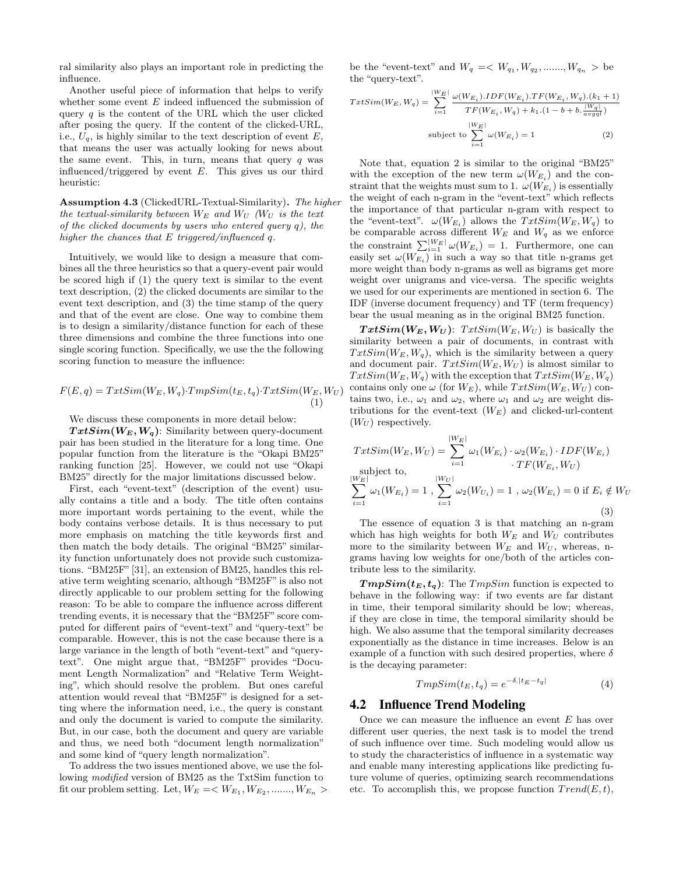ral similarity also plays an important role in predicting the influence.

Another useful piece of information that helps to verify whether some event  $E$  indeed influenced the submission of query  $q$  is the content of the URL which the user clicked after posing the query. If the content of the clicked-URL, i.e.,  $U_q$ , is highly similar to the text description of event E, that means the user was actually looking for news about the same event. This, in turn, means that query  $q$  was influenced/triggered by event  $E$ . This gives us our third heuristic:

Assumption 4.3 (ClickedURL-Textual-Similarity). The higher the textual-similarity between  $W_E$  and  $W_U$  (W<sub>U</sub> is the text of the clicked documents by users who entered query  $q$ ), the higher the chances that E triggered/influenced q.

Intuitively, we would like to design a measure that combines all the three heuristics so that a query-event pair would be scored high if (1) the query text is similar to the event text description, (2) the clicked documents are similar to the event text description, and (3) the time stamp of the query and that of the event are close. One way to combine them is to design a similarity/distance function for each of these three dimensions and combine the three functions into one single scoring function. Specifically, we use the the following scoring function to measure the influence:

$$
F(E,q) = TxtSim(W_E, W_q) \cdot TmpSim(t_E, t_q) \cdot TxtSim(W_E, W_U)
$$
\n<sup>(1)</sup>

#### We discuss these components in more detail below:

 $TxtSim(W_E, W_q)$ : Similarity between query-document pair has been studied in the literature for a long time. One popular function from the literature is the "Okapi BM25" ranking function [25]. However, we could not use "Okapi BM25" directly for the major limitations discussed below.

First, each "event-text" (description of the event) usually contains a title and a body. The title often contains more important words pertaining to the event, while the body contains verbose details. It is thus necessary to put more emphasis on matching the title keywords first and then match the body details. The original "BM25" similarity function unfortunately does not provide such customizations. "BM25F"[31], an extension of BM25, handles this relative term weighting scenario, although "BM25F" is also not directly applicable to our problem setting for the following reason: To be able to compare the influence across different trending events, it is necessary that the "BM25F" score computed for different pairs of "event-text" and "query-text" be comparable. However, this is not the case because there is a large variance in the length of both "event-text" and "querytext". One might argue that, "BM25F" provides "Document Length Normalization" and "Relative Term Weighting", which should resolve the problem. But ones careful attention would reveal that "BM25F" is designed for a setting where the information need, i.e., the query is constant and only the document is varied to compute the similarity. But, in our case, both the document and query are variable and thus, we need both "document length normalization" and some kind of "query length normalization".

To address the two issues mentioned above, we use the following modified version of BM25 as the TxtSim function to fit our problem setting. Let,  $W_E = \langle W_{E_1}, W_{E_2}, \dots, W_{E_n} \rangle$ 

be the "event-text" and  $W_q = \langle W_{q_1}, W_{q_2}, \dots, W_{q_n} \rangle$  be the "query-text".

$$
TxtSim(W_E, W_q) = \sum_{i=1}^{|W_E|} \frac{\omega(W_{E_i}).IDF(W_{E_i}).TF(W_{E_i}, W_q).(k_1 + 1)}{TF(W_{E_i}, W_q) + k_1.(1 - b + b \cdot \frac{|W_q|}{avgq})}
$$
  
\nsubject to 
$$
\sum_{i=1}^{|W_E|} \omega(W_{E_i}) = 1
$$
 (2)

Note that, equation 2 is similar to the original "BM25" with the exception of the new term  $\omega(W_{E_i})$  and the constraint that the weights must sum to 1.  $\omega(W_{E_i})$  is essentially the weight of each n-gram in the "event-text" which reflects the importance of that particular n-gram with respect to the "event-text".  $\omega(W_{E_i})$  allows the  $TxtSim(W_E, W_q)$  to be comparable across different  $W_E$  and  $W_q$  as we enforce the constraint  $\sum_{i=1}^{|W_E|} \omega(W_{E_i}) = 1$ . Furthermore, one can easily set  $\omega(W_{E_i})$  in such a way so that title n-grams get more weight than body n-grams as well as bigrams get more weight over unigrams and vice-versa. The specific weights we used for our experiments are mentioned in section 6. The IDF (inverse document frequency) and TF (term frequency) bear the usual meaning as in the original BM25 function.

 $TxtSim(W_E, W_U)$ :  $TxtSim(W_E, W_U)$  is basically the similarity between a pair of documents, in contrast with  $TxtSim(W_E, W_q)$ , which is the similarity between a query and document pair.  $TxtSim(W_E, W_U)$  is almost similar to  $TxtSim(W_E, W_q)$  with the exception that  $TxtSim(W_E, W_q)$ contains only one  $\omega$  (for  $W_E$ ), while  $TxtSim(W_E, W_U)$  contains two, i.e.,  $\omega_1$  and  $\omega_2$ , where  $\omega_1$  and  $\omega_2$  are weight distributions for the event-text  $(W_E)$  and clicked-url-content  $(W_U)$  respectively.

$$
TxtSim(W_E, W_U) = \sum_{i=1}^{|W_E|} \omega_1(W_{E_i}) \cdot \omega_2(W_{E_i}) \cdot IDF(W_{E_i})
$$
  
\nsubject to,  
\n
$$
\sum_{i=1}^{|W_E|} \omega_1(W_{E_i}) = 1, \sum_{i=1}^{|W_U|} \omega_2(W_{U_i}) = 1, \omega_2(W_{E_i}) = 0 \text{ if } E_i \notin W_U
$$
  
\n(3)

The essence of equation 3 is that matching an n-gram which has high weights for both  $W_E$  and  $W_U$  contributes more to the similarity between  $W_E$  and  $W_U$ , whereas, ngrams having low weights for one/both of the articles contribute less to the similarity.

 $TmpSim(t_E, t_q)$ : The  $TmpSim$  function is expected to behave in the following way: if two events are far distant in time, their temporal similarity should be low; whereas, if they are close in time, the temporal similarity should be high. We also assume that the temporal similarity decreases exponentially as the distance in time increases. Below is an example of a function with such desired properties, where  $\delta$ is the decaying parameter:

$$
TmpSim(t_E, t_q) = e^{-\delta \cdot |t_E - t_q|}
$$
\n<sup>(4)</sup>

### 4.2 Influence Trend Modeling

Once we can measure the influence an event E has over different user queries, the next task is to model the trend of such influence over time. Such modeling would allow us to study the characteristics of influence in a systematic way and enable many interesting applications like predicting future volume of queries, optimizing search recommendations etc. To accomplish this, we propose function  $Trend(E, t)$ ,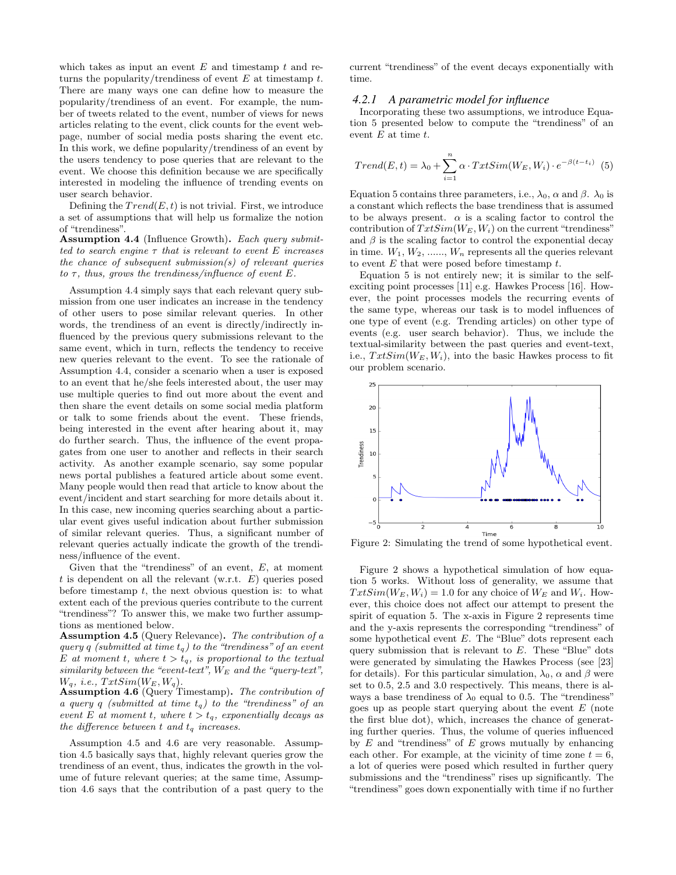which takes as input an event  $E$  and timestamp  $t$  and returns the popularity/trendiness of event  $E$  at timestamp  $t$ . There are many ways one can define how to measure the popularity/trendiness of an event. For example, the number of tweets related to the event, number of views for news articles relating to the event, click counts for the event webpage, number of social media posts sharing the event etc. In this work, we define popularity/trendiness of an event by the users tendency to pose queries that are relevant to the event. We choose this definition because we are specifically interested in modeling the influence of trending events on user search behavior.

Defining the  $Trend(E, t)$  is not trivial. First, we introduce a set of assumptions that will help us formalize the notion of "trendiness".

Assumption 4.4 (Influence Growth). Each query submitted to search engine  $\tau$  that is relevant to event E increases the chance of subsequent submission(s) of relevant queries to  $\tau$ , thus, grows the trendiness/influence of event E.

Assumption 4.4 simply says that each relevant query submission from one user indicates an increase in the tendency of other users to pose similar relevant queries. In other words, the trendiness of an event is directly/indirectly influenced by the previous query submissions relevant to the same event, which in turn, reflects the tendency to receive new queries relevant to the event. To see the rationale of Assumption 4.4, consider a scenario when a user is exposed to an event that he/she feels interested about, the user may use multiple queries to find out more about the event and then share the event details on some social media platform or talk to some friends about the event. These friends, being interested in the event after hearing about it, may do further search. Thus, the influence of the event propagates from one user to another and reflects in their search activity. As another example scenario, say some popular news portal publishes a featured article about some event. Many people would then read that article to know about the event/incident and start searching for more details about it. In this case, new incoming queries searching about a particular event gives useful indication about further submission of similar relevant queries. Thus, a significant number of relevant queries actually indicate the growth of the trendiness/influence of the event.

Given that the "trendiness" of an event,  $E$ , at moment t is dependent on all the relevant (w.r.t.  $E$ ) queries posed before timestamp  $t$ , the next obvious question is: to what extent each of the previous queries contribute to the current "trendiness"? To answer this, we make two further assumptions as mentioned below.

Assumption 4.5 (Query Relevance). The contribution of a query q (submitted at time  $t_q$ ) to the "trendiness" of an event E at moment t, where  $t > t_q$ , is proportional to the textual similarity between the "event-text",  $W_E$  and the "query-text",  $W_q$ , i.e.,  $TxtSim(W_E, W_q)$ .

Assumption 4.6 (Query Timestamp). The contribution of  $a\ \hspace{0.2em}q$  (submitted at time  $t_q)$  to the "trendiness" of an event E at moment t, where  $t > t_q$ , exponentially decays as the difference between  $t$  and  $t_q$  increases.

Assumption 4.5 and 4.6 are very reasonable. Assumption 4.5 basically says that, highly relevant queries grow the trendiness of an event, thus, indicates the growth in the volume of future relevant queries; at the same time, Assumption 4.6 says that the contribution of a past query to the current "trendiness" of the event decays exponentially with time.

#### *4.2.1 A parametric model for influence*

Incorporating these two assumptions, we introduce Equation 5 presented below to compute the "trendiness" of an event  $E$  at time  $t$ .

$$
Trend(E, t) = \lambda_0 + \sum_{i=1}^{n} \alpha \cdot TxtSim(W_E, W_i) \cdot e^{-\beta (t - t_i)}
$$
(5)

Equation 5 contains three parameters, i.e.,  $\lambda_0$ ,  $\alpha$  and  $\beta$ .  $\lambda_0$  is a constant which reflects the base trendiness that is assumed to be always present.  $\alpha$  is a scaling factor to control the contribution of  $TxtSim(W_E, W_i)$  on the current "trendiness" and  $\beta$  is the scaling factor to control the exponential decay in time.  $W_1, W_2, \ldots, W_n$  represents all the queries relevant to event  $E$  that were posed before timestamp  $t$ .

Equation 5 is not entirely new; it is similar to the selfexciting point processes [11] e.g. Hawkes Process [16]. However, the point processes models the recurring events of the same type, whereas our task is to model influences of one type of event (e.g. Trending articles) on other type of events (e.g. user search behavior). Thus, we include the textual-similarity between the past queries and event-text, i.e.,  $TxtSim(W_E, W_i)$ , into the basic Hawkes process to fit our problem scenario.



Figure 2: Simulating the trend of some hypothetical event.

Figure 2 shows a hypothetical simulation of how equation 5 works. Without loss of generality, we assume that  $TxtSim(W_E, W_i) = 1.0$  for any choice of  $W_E$  and  $W_i$ . However, this choice does not affect our attempt to present the spirit of equation 5. The x-axis in Figure 2 represents time and the y-axis represents the corresponding "trendiness" of some hypothetical event  $E$ . The "Blue" dots represent each query submission that is relevant to  $E$ . These "Blue" dots were generated by simulating the Hawkes Process (see [23] for details). For this particular simulation,  $\lambda_0$ ,  $\alpha$  and  $\beta$  were set to 0.5, 2.5 and 3.0 respectively. This means, there is always a base trendiness of  $\lambda_0$  equal to 0.5. The "trendiness" goes up as people start querying about the event  $E$  (note the first blue dot), which, increases the chance of generating further queries. Thus, the volume of queries influenced by  $E$  and "trendiness" of  $E$  grows mutually by enhancing each other. For example, at the vicinity of time zone  $t = 6$ , a lot of queries were posed which resulted in further query submissions and the "trendiness" rises up significantly. The "trendiness" goes down exponentially with time if no further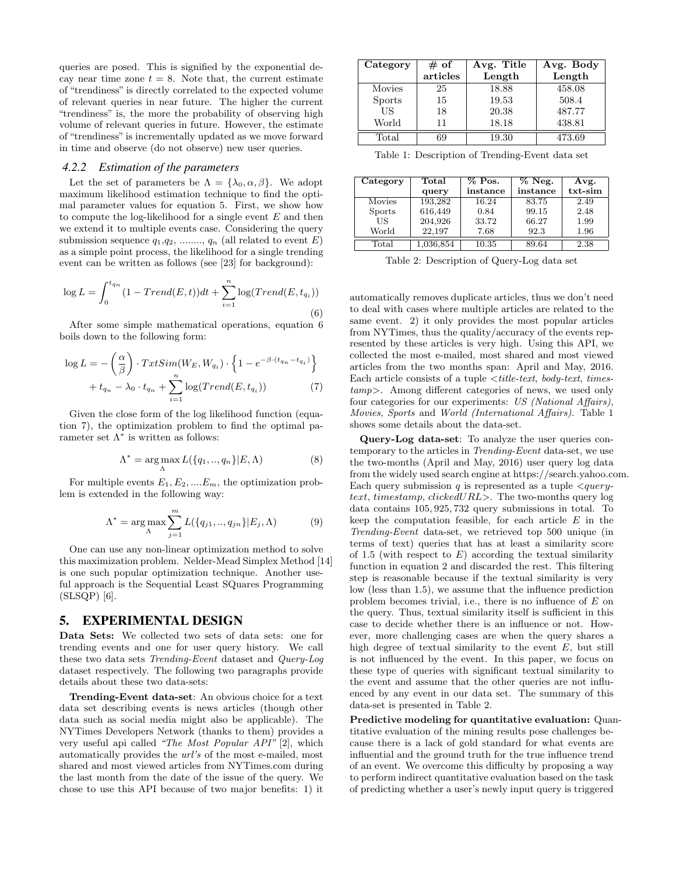queries are posed. This is signified by the exponential decay near time zone  $t = 8$ . Note that, the current estimate of "trendiness" is directly correlated to the expected volume of relevant queries in near future. The higher the current "trendiness" is, the more the probability of observing high volume of relevant queries in future. However, the estimate of "trendiness" is incrementally updated as we move forward in time and observe (do not observe) new user queries.

#### *4.2.2 Estimation of the parameters*

Let the set of parameters be  $\Lambda = {\lambda_0, \alpha, \beta}$ . We adopt maximum likelihood estimation technique to find the optimal parameter values for equation 5. First, we show how to compute the log-likelihood for a single event  $E$  and then we extend it to multiple events case. Considering the query submission sequence  $q_1, q_2, \ldots, q_n$  (all related to event E) as a simple point process, the likelihood for a single trending event can be written as follows (see [23] for background):

$$
\log L = \int_0^{t_{q_n}} (1 - Trend(E, t))dt + \sum_{i=1}^n \log(Trend(E, t_{q_i}))
$$
\n(6)

After some simple mathematical operations, equation 6 boils down to the following form:

$$
\log L = -\left(\frac{\alpha}{\beta}\right) \cdot TrxtSim(W_E, W_{q_i}) \cdot \left\{1 - e^{-\beta \cdot (t_{q_n} - t_{q_i})}\right\}
$$

$$
+ t_{q_n} - \lambda_0 \cdot t_{q_n} + \sum_{i=1}^n \log(Trend(E, t_{q_i})) \tag{7}
$$

Given the close form of the log likelihood function (equation 7), the optimization problem to find the optimal parameter set  $\Lambda^*$  is written as follows:

$$
\Lambda^* = \underset{\Lambda}{\arg \max} L(\{q_1, ..., q_n\} | E, \Lambda)
$$
 (8)

For multiple events  $E_1, E_2, \dots, E_m$ , the optimization problem is extended in the following way:

$$
\Lambda^* = \underset{\Lambda}{\arg \max} \sum_{j=1}^m L(\{q_{j1}, \ldots, q_{jn}\} | E_j, \Lambda) \tag{9}
$$

One can use any non-linear optimization method to solve this maximization problem. Nelder-Mead Simplex Method [14] is one such popular optimization technique. Another useful approach is the Sequential Least SQuares Programming (SLSQP) [6].

# 5. EXPERIMENTAL DESIGN

Data Sets: We collected two sets of data sets: one for trending events and one for user query history. We call these two data sets Trending-Event dataset and Query-Log dataset respectively. The following two paragraphs provide details about these two data-sets:

Trending-Event data-set: An obvious choice for a text data set describing events is news articles (though other data such as social media might also be applicable). The NYTimes Developers Network (thanks to them) provides a very useful api called "The Most Popular API" [2], which automatically provides the url's of the most e-mailed, most shared and most viewed articles from NYTimes.com during the last month from the date of the issue of the query. We chose to use this API because of two major benefits: 1) it

| Category       | $#$ of   | Avg. Title | Avg. Body |
|----------------|----------|------------|-----------|
|                | articles | Length     | Length    |
| Movies         | 25       | 18.88      | 458.08    |
| <b>Sports</b>  | 15       | 19.53      | 508.4     |
| US             | 18       | 20.38      | 487.77    |
| World          |          | 18.18      | 438.81    |
| $_{\rm Total}$ |          | 19.30      | 473.69    |

Table 1: Description of Trending-Event data set

| Category      | Total     |          | $\%$ Neg. | Avg.    |  |
|---------------|-----------|----------|-----------|---------|--|
|               | query     | instance | instance  | txt-sim |  |
| Movies        | 193,282   | 16.24    | 83.75     | 2.49    |  |
| <b>Sports</b> | 616,449   | 0.84     | 99.15     | 2.48    |  |
| US            | 204,926   | 33.72    | 66.27     | 1.99    |  |
| World         | 22.197    | 7.68     | 92.3      | 1.96    |  |
| Total         | 1,036,854 | 10.35    | 89.64     | 2.38    |  |

Table 2: Description of Query-Log data set

automatically removes duplicate articles, thus we don't need to deal with cases where multiple articles are related to the same event. 2) it only provides the most popular articles from NYTimes, thus the quality/accuracy of the events represented by these articles is very high. Using this API, we collected the most e-mailed, most shared and most viewed articles from the two months span: April and May, 2016. Each article consists of a tuple  $\lt$  title-text, body-text, timestamp>. Among different categories of news, we used only four categories for our experiments: US (National Affairs), Movies, Sports and World (International Affairs). Table 1 shows some details about the data-set.

Query-Log data-set: To analyze the user queries contemporary to the articles in Trending-Event data-set, we use the two-months (April and May, 2016) user query log data from the widely used search engine at https://search.yahoo.com. Each query submission  $q$  is represented as a tuple  $\langle query$ text, timestamp, clickedURL>. The two-months query log data contains 105, 925, 732 query submissions in total. To keep the computation feasible, for each article  $E$  in the Trending-Event data-set, we retrieved top 500 unique (in terms of text) queries that has at least a similarity score of 1.5 (with respect to  $E$ ) according the textual similarity function in equation 2 and discarded the rest. This filtering step is reasonable because if the textual similarity is very low (less than 1.5), we assume that the influence prediction problem becomes trivial, i.e., there is no influence of E on the query. Thus, textual similarity itself is sufficient in this case to decide whether there is an influence or not. However, more challenging cases are when the query shares a high degree of textual similarity to the event  $E$ , but still is not influenced by the event. In this paper, we focus on these type of queries with significant textual similarity to the event and assume that the other queries are not influenced by any event in our data set. The summary of this data-set is presented in Table 2.

Predictive modeling for quantitative evaluation: Quantitative evaluation of the mining results pose challenges because there is a lack of gold standard for what events are influential and the ground truth for the true influence trend of an event. We overcome this difficulty by proposing a way to perform indirect quantitative evaluation based on the task of predicting whether a user's newly input query is triggered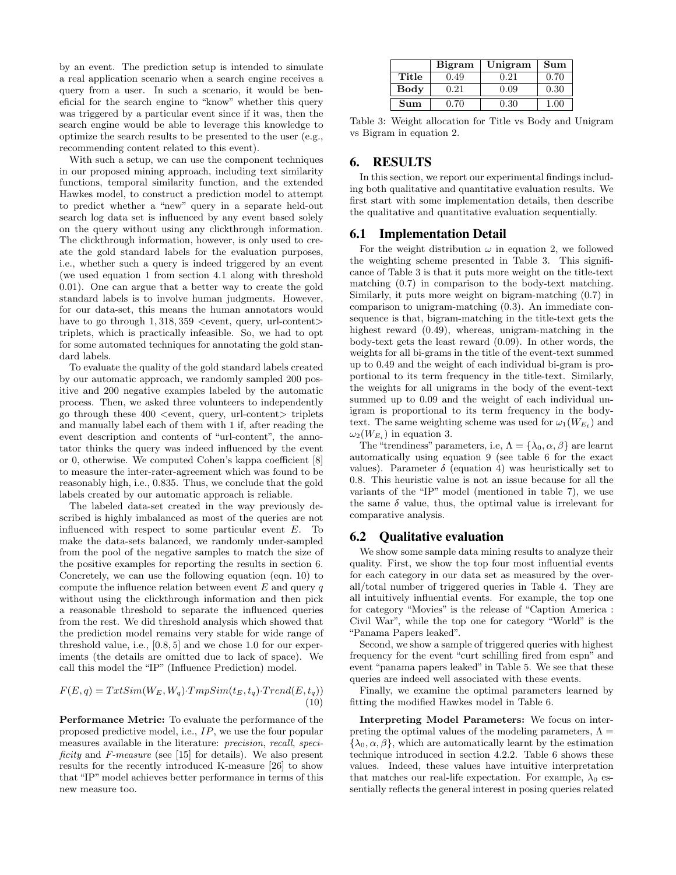by an event. The prediction setup is intended to simulate a real application scenario when a search engine receives a query from a user. In such a scenario, it would be beneficial for the search engine to "know" whether this query was triggered by a particular event since if it was, then the search engine would be able to leverage this knowledge to optimize the search results to be presented to the user (e.g., recommending content related to this event).

With such a setup, we can use the component techniques in our proposed mining approach, including text similarity functions, temporal similarity function, and the extended Hawkes model, to construct a prediction model to attempt to predict whether a "new" query in a separate held-out search log data set is influenced by any event based solely on the query without using any clickthrough information. The clickthrough information, however, is only used to create the gold standard labels for the evaluation purposes, i.e., whether such a query is indeed triggered by an event (we used equation 1 from section 4.1 along with threshold 0.01). One can argue that a better way to create the gold standard labels is to involve human judgments. However, for our data-set, this means the human annotators would have to go through  $1,318,359$  <event, query, url-content> triplets, which is practically infeasible. So, we had to opt for some automated techniques for annotating the gold standard labels.

To evaluate the quality of the gold standard labels created by our automatic approach, we randomly sampled 200 positive and 200 negative examples labeled by the automatic process. Then, we asked three volunteers to independently go through these  $400$  <event, query, url-content  $\gt$ triplets and manually label each of them with 1 if, after reading the event description and contents of "url-content", the annotator thinks the query was indeed influenced by the event or 0, otherwise. We computed Cohen's kappa coefficient [8] to measure the inter-rater-agreement which was found to be reasonably high, i.e., 0.835. Thus, we conclude that the gold labels created by our automatic approach is reliable.

The labeled data-set created in the way previously described is highly imbalanced as most of the queries are not influenced with respect to some particular event E. To make the data-sets balanced, we randomly under-sampled from the pool of the negative samples to match the size of the positive examples for reporting the results in section 6. Concretely, we can use the following equation (eqn. 10) to compute the influence relation between event  $E$  and query  $q$ without using the clickthrough information and then pick a reasonable threshold to separate the influenced queries from the rest. We did threshold analysis which showed that the prediction model remains very stable for wide range of threshold value, i.e., [0.8, 5] and we chose 1.0 for our experiments (the details are omitted due to lack of space). We call this model the "IP" (Influence Prediction) model.

$$
F(E,q) = TxtSim(W_E, W_q) \cdot TmpSim(t_E, t_q) \cdot Trend(E, t_q))
$$
\n
$$
(10)
$$

Performance Metric: To evaluate the performance of the proposed predictive model, i.e., IP, we use the four popular measures available in the literature: precision, recall, specificity and F-measure (see [15] for details). We also present results for the recently introduced K-measure [26] to show that "IP" model achieves better performance in terms of this new measure too.

|                      | <b>Bigram</b> | Unigram | Sum  |
|----------------------|---------------|---------|------|
| Title                | 0.49          | 0.21    | 0.70 |
| Body                 | 0.21          | 0.09    | 0.30 |
| $\operatorname{Sum}$ | 0.70          | 0.30    | 1 NO |

Table 3: Weight allocation for Title vs Body and Unigram vs Bigram in equation 2.

# 6. RESULTS

In this section, we report our experimental findings including both qualitative and quantitative evaluation results. We first start with some implementation details, then describe the qualitative and quantitative evaluation sequentially.

### 6.1 Implementation Detail

For the weight distribution  $\omega$  in equation 2, we followed the weighting scheme presented in Table 3. This significance of Table 3 is that it puts more weight on the title-text matching (0.7) in comparison to the body-text matching. Similarly, it puts more weight on bigram-matching (0.7) in comparison to unigram-matching (0.3). An immediate consequence is that, bigram-matching in the title-text gets the highest reward  $(0.49)$ , whereas, unigram-matching in the body-text gets the least reward (0.09). In other words, the weights for all bi-grams in the title of the event-text summed up to 0.49 and the weight of each individual bi-gram is proportional to its term frequency in the title-text. Similarly, the weights for all unigrams in the body of the event-text summed up to 0.09 and the weight of each individual unigram is proportional to its term frequency in the bodytext. The same weighting scheme was used for  $\omega_1(W_{E_i})$  and  $\omega_2(W_{E_i})$  in equation 3.

The "trendiness" parameters, i.e,  $\Lambda = {\lambda_0, \alpha, \beta}$  are learnt automatically using equation 9 (see table 6 for the exact values). Parameter  $\delta$  (equation 4) was heuristically set to 0.8. This heuristic value is not an issue because for all the variants of the "IP" model (mentioned in table 7), we use the same  $\delta$  value, thus, the optimal value is irrelevant for comparative analysis.

### 6.2 Qualitative evaluation

We show some sample data mining results to analyze their quality. First, we show the top four most influential events for each category in our data set as measured by the overall/total number of triggered queries in Table 4. They are all intuitively influential events. For example, the top one for category "Movies" is the release of "Caption America : Civil War", while the top one for category "World" is the "Panama Papers leaked".

Second, we show a sample of triggered queries with highest frequency for the event "curt schilling fired from espn" and event "panama papers leaked" in Table 5. We see that these queries are indeed well associated with these events.

Finally, we examine the optimal parameters learned by fitting the modified Hawkes model in Table 6.

Interpreting Model Parameters: We focus on interpreting the optimal values of the modeling parameters,  $\Lambda =$  ${\lambda_0, \alpha, \beta}$ , which are automatically learnt by the estimation technique introduced in section 4.2.2. Table 6 shows these values. Indeed, these values have intuitive interpretation that matches our real-life expectation. For example,  $\lambda_0$  essentially reflects the general interest in posing queries related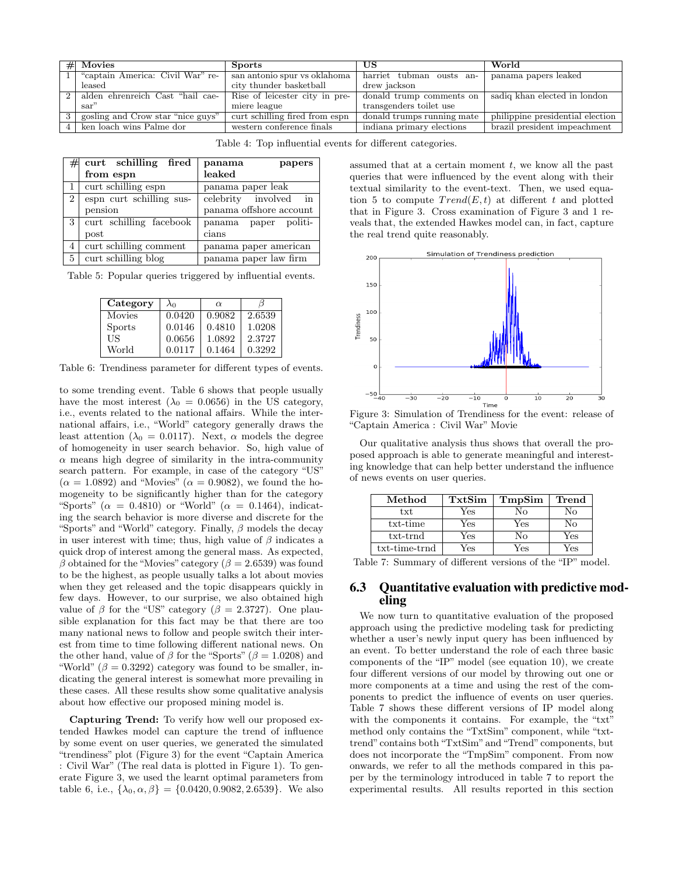| World                            | US                         | <b>Sports</b>                  | $#$ Movies                        |  |
|----------------------------------|----------------------------|--------------------------------|-----------------------------------|--|
| panama papers leaked             | harriet tubman ousts an-   | san antonio spur vs oklahoma   | "captain America: Civil War" re-  |  |
|                                  | drew jackson               | city thunder basketball        | leased                            |  |
| sadiq khan elected in london     | donald trump comments on   | Rise of leicester city in pre- | alden ehrenreich Cast "hail cae-  |  |
|                                  | transgenders toilet use    | miere league                   | sar"                              |  |
| philippine presidential election | donald trumps running mate |                                | gosling and Crow star "nice guys" |  |
| brazil president impeachment     | indiana primary elections  | western conference finals      | ken loach wins Palme dor          |  |
|                                  |                            | curt schilling fired from espn |                                   |  |

Table 4: Top influential events for different categories.

| #              | curt schilling fired     | panama<br>papers           |
|----------------|--------------------------|----------------------------|
|                | from espn                | leaked                     |
|                | curt schilling espn      | panama paper leak          |
| $\overline{2}$ | espn curt schilling sus- | celebrity involved in      |
|                | pension                  | panama offshore account    |
| 3              | curt schilling facebook  | politi-<br>panama<br>paper |
|                | post                     | cians                      |
| 4              | curt schilling comment   | panama paper american      |
| 5              | curt schilling blog      | panama paper law firm      |

Table 5: Popular queries triggered by influential events.

| Category      | $\lambda_0$ | $\alpha$ |        |
|---------------|-------------|----------|--------|
| Movies        | 0.0420      | 0.9082   | 2.6539 |
| <b>Sports</b> | 0.0146      | 0.4810   | 1.0208 |
| US            | 0.0656      | 1.0892   | 2.3727 |
| World         | 0.0117      | 0.1464   | 0.3292 |

Table 6: Trendiness parameter for different types of events.

to some trending event. Table 6 shows that people usually have the most interest ( $\lambda_0 = 0.0656$ ) in the US category, i.e., events related to the national affairs. While the international affairs, i.e., "World" category generally draws the least attention ( $\lambda_0 = 0.0117$ ). Next,  $\alpha$  models the degree of homogeneity in user search behavior. So, high value of  $\alpha$  means high degree of similarity in the intra-community search pattern. For example, in case of the category "US"  $(\alpha = 1.0892)$  and "Movies"  $(\alpha = 0.9082)$ , we found the homogeneity to be significantly higher than for the category "Sports" ( $\alpha = 0.4810$ ) or "World" ( $\alpha = 0.1464$ ), indicating the search behavior is more diverse and discrete for the "Sports" and "World" category. Finally,  $\beta$  models the decay in user interest with time; thus, high value of  $\beta$  indicates a quick drop of interest among the general mass. As expected, β obtained for the "Movies" category ( $β = 2.6539$ ) was found to be the highest, as people usually talks a lot about movies when they get released and the topic disappears quickly in few days. However, to our surprise, we also obtained high value of  $\beta$  for the "US" category ( $\beta = 2.3727$ ). One plausible explanation for this fact may be that there are too many national news to follow and people switch their interest from time to time following different national news. On the other hand, value of  $\beta$  for the "Sports" ( $\beta = 1.0208$ ) and "World" ( $\beta = 0.3292$ ) category was found to be smaller, indicating the general interest is somewhat more prevailing in these cases. All these results show some qualitative analysis about how effective our proposed mining model is.

Capturing Trend: To verify how well our proposed extended Hawkes model can capture the trend of influence by some event on user queries, we generated the simulated "trendiness" plot (Figure 3) for the event "Captain America : Civil War" (The real data is plotted in Figure 1). To generate Figure 3, we used the learnt optimal parameters from table 6, i.e.,  $\{\lambda_0, \alpha, \beta\} = \{0.0420, 0.9082, 2.6539\}$ . We also assumed that at a certain moment  $t$ , we know all the past queries that were influenced by the event along with their textual similarity to the event-text. Then, we used equation 5 to compute  $Trend(E, t)$  at different t and plotted that in Figure 3. Cross examination of Figure 3 and 1 reveals that, the extended Hawkes model can, in fact, capture the real trend quite reasonably.



Figure 3: Simulation of Trendiness for the event: release of "Captain America : Civil War" Movie

Our qualitative analysis thus shows that overall the proposed approach is able to generate meaningful and interesting knowledge that can help better understand the influence of news events on user queries.

| Method        | TxtSim | TmpSim | <b>Trend</b> |  |
|---------------|--------|--------|--------------|--|
| txt           | Yes    | Ν٥     | Nο           |  |
| txt-time      | Yes    | Yes    | Nο           |  |
| txt-trnd      | Yes    | Nο     | Yes          |  |
| txt-time-trnd | √es    | Yes    | $^7$ es      |  |

Table 7: Summary of different versions of the "IP" model.

### 6.3 Quantitative evaluation with predictive modeling

We now turn to quantitative evaluation of the proposed approach using the predictive modeling task for predicting whether a user's newly input query has been influenced by an event. To better understand the role of each three basic components of the "IP" model (see equation 10), we create four different versions of our model by throwing out one or more components at a time and using the rest of the components to predict the influence of events on user queries. Table 7 shows these different versions of IP model along with the components it contains. For example, the "txt" method only contains the "TxtSim" component, while "txttrend" contains both "TxtSim" and "Trend" components, but does not incorporate the "TmpSim" component. From now onwards, we refer to all the methods compared in this paper by the terminology introduced in table 7 to report the experimental results. All results reported in this section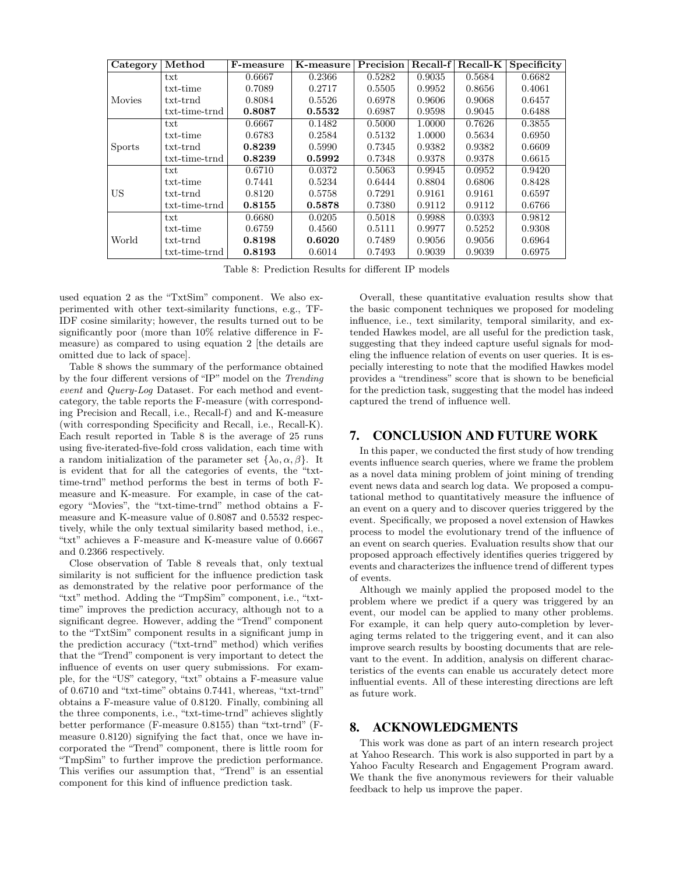| Category      | Method          | F-measure | K-measure | Precision | Recall-f | Recall-K | Specificity |
|---------------|-----------------|-----------|-----------|-----------|----------|----------|-------------|
|               | txt             | 0.6667    | 0.2366    | 0.5282    | 0.9035   | 0.5684   | 0.6682      |
|               | txt-time        | 0.7089    | 0.2717    | 0.5505    | 0.9952   | 0.8656   | 0.4061      |
| Movies        | txt-trnd        | 0.8084    | 0.5526    | 0.6978    | 0.9606   | 0.9068   | 0.6457      |
|               | $txt-time-trnd$ | 0.8087    | 0.5532    | 0.6987    | 0.9598   | 0.9045   | 0.6488      |
|               | txt             | 0.6667    | 0.1482    | 0.5000    | 1.0000   | 0.7626   | 0.3855      |
|               | txt-time        | 0.6783    | 0.2584    | 0.5132    | 1.0000   | 0.5634   | 0.6950      |
| <b>Sports</b> | txt-trnd        | 0.8239    | 0.5990    | 0.7345    | 0.9382   | 0.9382   | 0.6609      |
|               | txt-time-trnd   | 0.8239    | 0.5992    | 0.7348    | 0.9378   | 0.9378   | 0.6615      |
|               | txt             | 0.6710    | 0.0372    | 0.5063    | 0.9945   | 0.0952   | 0.9420      |
|               | txt-time        | 0.7441    | 0.5234    | 0.6444    | 0.8804   | 0.6806   | 0.8428      |
| US            | txt-trnd        | 0.8120    | 0.5758    | 0.7291    | 0.9161   | 0.9161   | 0.6597      |
|               | $txt-time-trnd$ | 0.8155    | 0.5878    | 0.7380    | 0.9112   | 0.9112   | 0.6766      |
|               | txt             | 0.6680    | 0.0205    | 0.5018    | 0.9988   | 0.0393   | 0.9812      |
|               | txt-time        | 0.6759    | 0.4560    | 0.5111    | 0.9977   | 0.5252   | 0.9308      |
| World         | txt-trnd        | 0.8198    | 0.6020    | 0.7489    | 0.9056   | 0.9056   | 0.6964      |
|               | txt-time-trnd   | 0.8193    | 0.6014    | 0.7493    | 0.9039   | 0.9039   | 0.6975      |

Table 8: Prediction Results for different IP models

used equation 2 as the "TxtSim" component. We also experimented with other text-similarity functions, e.g., TF-IDF cosine similarity; however, the results turned out to be significantly poor (more than 10% relative difference in Fmeasure) as compared to using equation 2 [the details are omitted due to lack of space].

Table 8 shows the summary of the performance obtained by the four different versions of "IP" model on the Trending event and Query-Log Dataset. For each method and eventcategory, the table reports the F-measure (with corresponding Precision and Recall, i.e., Recall-f) and and K-measure (with corresponding Specificity and Recall, i.e., Recall-K). Each result reported in Table 8 is the average of 25 runs using five-iterated-five-fold cross validation, each time with a random initialization of the parameter set  $\{\lambda_0, \alpha, \beta\}$ . It is evident that for all the categories of events, the "txttime-trnd" method performs the best in terms of both Fmeasure and K-measure. For example, in case of the category "Movies", the "txt-time-trnd" method obtains a Fmeasure and K-measure value of 0.8087 and 0.5532 respectively, while the only textual similarity based method, i.e., "txt" achieves a F-measure and K-measure value of 0.6667 and 0.2366 respectively.

Close observation of Table 8 reveals that, only textual similarity is not sufficient for the influence prediction task as demonstrated by the relative poor performance of the "txt" method. Adding the "TmpSim" component, i.e., "txttime" improves the prediction accuracy, although not to a significant degree. However, adding the "Trend" component to the "TxtSim" component results in a significant jump in the prediction accuracy ("txt-trnd" method) which verifies that the "Trend" component is very important to detect the influence of events on user query submissions. For example, for the "US" category, "txt" obtains a F-measure value of 0.6710 and "txt-time" obtains 0.7441, whereas, "txt-trnd" obtains a F-measure value of 0.8120. Finally, combining all the three components, i.e., "txt-time-trnd" achieves slightly better performance (F-measure 0.8155) than "txt-trnd" (Fmeasure 0.8120) signifying the fact that, once we have incorporated the "Trend" component, there is little room for "TmpSim" to further improve the prediction performance. This verifies our assumption that, "Trend" is an essential component for this kind of influence prediction task.

Overall, these quantitative evaluation results show that the basic component techniques we proposed for modeling influence, i.e., text similarity, temporal similarity, and extended Hawkes model, are all useful for the prediction task, suggesting that they indeed capture useful signals for modeling the influence relation of events on user queries. It is especially interesting to note that the modified Hawkes model provides a "trendiness" score that is shown to be beneficial for the prediction task, suggesting that the model has indeed captured the trend of influence well.

# 7. CONCLUSION AND FUTURE WORK

In this paper, we conducted the first study of how trending events influence search queries, where we frame the problem as a novel data mining problem of joint mining of trending event news data and search log data. We proposed a computational method to quantitatively measure the influence of an event on a query and to discover queries triggered by the event. Specifically, we proposed a novel extension of Hawkes process to model the evolutionary trend of the influence of an event on search queries. Evaluation results show that our proposed approach effectively identifies queries triggered by events and characterizes the influence trend of different types of events.

Although we mainly applied the proposed model to the problem where we predict if a query was triggered by an event, our model can be applied to many other problems. For example, it can help query auto-completion by leveraging terms related to the triggering event, and it can also improve search results by boosting documents that are relevant to the event. In addition, analysis on different characteristics of the events can enable us accurately detect more influential events. All of these interesting directions are left as future work.

### 8. ACKNOWLEDGMENTS

This work was done as part of an intern research project at Yahoo Research. This work is also supported in part by a Yahoo Faculty Research and Engagement Program award. We thank the five anonymous reviewers for their valuable feedback to help us improve the paper.